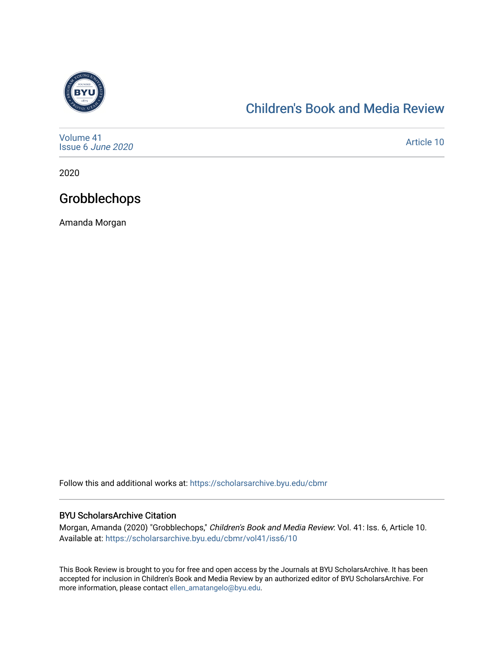

## [Children's Book and Media Review](https://scholarsarchive.byu.edu/cbmr)

| Volume 41<br>Issue 6 June 2020 | Article 10 |
|--------------------------------|------------|
|--------------------------------|------------|

2020

# Grobblechops

Amanda Morgan

Follow this and additional works at: [https://scholarsarchive.byu.edu/cbmr](https://scholarsarchive.byu.edu/cbmr?utm_source=scholarsarchive.byu.edu%2Fcbmr%2Fvol41%2Fiss6%2F10&utm_medium=PDF&utm_campaign=PDFCoverPages) 

#### BYU ScholarsArchive Citation

Morgan, Amanda (2020) "Grobblechops," Children's Book and Media Review: Vol. 41: Iss. 6, Article 10. Available at: [https://scholarsarchive.byu.edu/cbmr/vol41/iss6/10](https://scholarsarchive.byu.edu/cbmr/vol41/iss6/10?utm_source=scholarsarchive.byu.edu%2Fcbmr%2Fvol41%2Fiss6%2F10&utm_medium=PDF&utm_campaign=PDFCoverPages)

This Book Review is brought to you for free and open access by the Journals at BYU ScholarsArchive. It has been accepted for inclusion in Children's Book and Media Review by an authorized editor of BYU ScholarsArchive. For more information, please contact [ellen\\_amatangelo@byu.edu.](mailto:ellen_amatangelo@byu.edu)